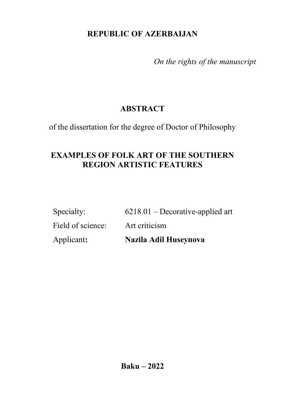## **REPUBLIC OF AZERBAIJAN**

*On the rights of the manuscript*

# **ABSTRACT**

of the dissertation for the degree of Doctor of Philosophy

## **EXAMPLES OF FOLK ART OF THE SOUTHERN REGION ARTISTIC FEATURES**

| Applicant:        | Nazila Adil Huseynova              |
|-------------------|------------------------------------|
| Field of science: | Art criticism                      |
| Specialty:        | $6218.01$ – Decorative-applied art |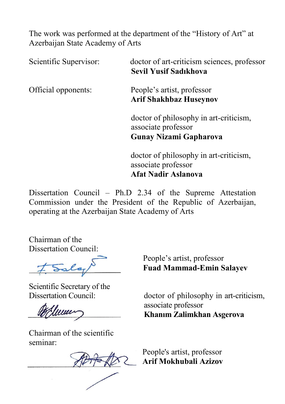The work was performed at the department of the "History of Art" at Azerbaijan State Academy of Arts

Scientific Supervisor: **doctor of art-criticism sciences**, professor **Sevil Yusif Sadıkhova** Official opponents: People's artist, professor **Arif Shakhbaz Huseynov** doctor of philosophy in art-criticism, associate professor **Gunay Nizami Gapharova**  doctor of philosophy in art-criticism, associate professor **Afat Nadir Aslanova** 

Dissertation Council – Ph.D 2.34 of the Supreme Attestation Commission under the President of the Republic of Azerbaijan, operating at the Azerbaijan State Academy of Arts

Chairman of the Dissertation Council:

t Sala

Scientific Secretary of the

<u> 1. juni</u>

Chairman of the scientific seminar:

 People's artist, professor **Fuad Mammad-Emin Salayev**

Dissertation Council: doctor of philosophy in art-criticism, associate professor **Khanım Zalimkhan Asgerova** 

> People's artist, professor **Arif Mokhubali Azizov**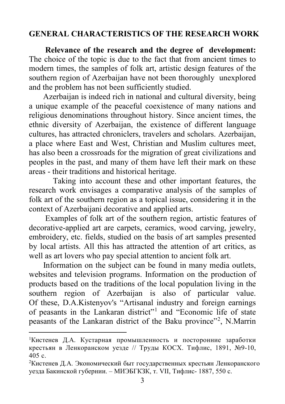## **GENERAL CHARACTERISTICS OF THE RESEARCH WORK**

 **Relevance of the research and the degree of development:** The choice of the topic is due to the fact that from ancient times to modern times, the samples of folk art, artistic design features of the southern region of Azerbaijan have not been thoroughly unexplored and the problem has not been sufficiently studied.

 Azerbaijan is indeed rich in national and cultural diversity, being a unique example of the peaceful coexistence of many nations and religious denominations throughout history. Since ancient times, the ethnic diversity of Azerbaijan, the existence of different language cultures, has attracted chroniclers, travelers and scholars. Azerbaijan, a place where East and West, Christian and Muslim cultures meet, has also been a crossroads for the migration of great civilizations and peoples in the past, and many of them have left their mark on these areas - their traditions and historical heritage.

Taking into account these and other important features, the research work envisages a comparative analysis of the samples of folk art of the southern region as a topical issue, considering it in the context of Azerbaijani decorative and applied arts.

 Examples of folk art of the southern region, artistic features of decorative-applied art are carpets, ceramics, wood carving, jewelry, embroidery, etc. fields, studied on the basis of art samples presented by local artists. All this has attracted the attention of art critics, as well as art lovers who pay special attention to ancient folk art.

 Information on the subject can be found in many media outlets, websites and television programs. Information on the production of products based on the traditions of the local population living in the southern region of Azerbaijan is also of particular value. Of these, D.A.Kistenyov's "Artisanal industry and foreign earnings of peasants in the Lankaran district"[1](#page-2-0) and "Economic life of state peasants of the Lankaran district of the Baku province"<sup>[2](#page-2-1)</sup>, N.Marrin

<span id="page-2-0"></span><sup>1</sup> Кистенев Д.А. Кустарная промышленность и посторонние заработки крестьян в Ленкоранском уезде // Труды КОСХ. Тифлис, 1891, №9-10, 405 с.

<span id="page-2-1"></span><sup>2</sup> Кистенев Д.А. Экономический быт государственных крестьян Ленкоранского уезда Бакинской губернии. – МИЭБГКЗК, т. VII, Тифлис- 1887, 550 с.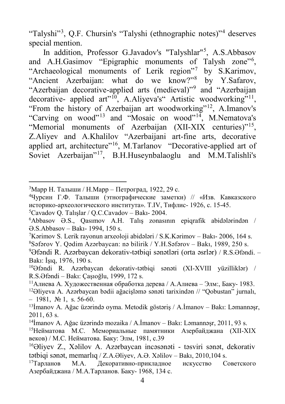"Talyshi"<sup>[3](#page-3-0)</sup>, Q.F. Chursin's "Talyshi (ethnographic notes)"<sup>[4](#page-3-1)</sup> deserves special mention.

In addition, Professor G.Javadov's "Talyshlar"<sup>[5](#page-3-2)</sup>, A.S.Abbasov and A.H.Gasimov "Epigraphic monuments of Talysh zone"<sup>[6](#page-3-3)</sup>, "Archaeological monuments of Lerik region"[7](#page-3-4) by S.Karimov, "Ancient Azerbaijan: what do we know?"[8](#page-3-5) by Y.Safarov, "Azerbaijan decorative-applied arts (medieval)"[9](#page-3-6) and "Azerbaijan decorative- applied art"<sup>[10](#page-3-7)</sup>, A.Aliyeva's" Artistic woodworking"<sup>[11](#page-3-8)</sup>, "From the history of Azerbaijan art woodworking"<sup>[12](#page-3-9)</sup>, A.Imanov's "Carving on wood"<sup>[13](#page-3-10)</sup> and "Mosaic on wood"<sup>14</sup>, M.Nematova's "Memorial monuments of Azerbaijan (XII-XIX centuries)"<sup>[15](#page-3-12)</sup>, Z.Aliyev and A.Khalilov "Azerbaijani art-fine arts, decorative applied art, architecture"<sup>16</sup>, M.Tarlanov "Decorative-applied art of Soviet Azerbaijan"<sup>[17](#page-3-14)</sup>, B.H.Huseynbalaoglu and M.M.Talishli's

1

<span id="page-3-5"></span><span id="page-3-4"></span>7 Kərimov S. Lerik rayonun arxeoloji abidələri / S.K.Kərimov – Bakı- 2006, 164 s. 8 Səfərov Y. Qədim Azərbaycan: nə bilirik / Y.H.Səfərov – Bakı, 1989, 250 s.

<span id="page-3-0"></span><sup>3</sup> Марр Н. Талыши / Н.Марр – Петроград, 1922, 29 с.

<span id="page-3-1"></span><sup>4</sup> Чурсин Г.Ф. Талыши (этнографические заметки) // «Изв. Кавказского историко-археологического института». Т.IV, Тифлис- 1926, с. 15-45.

<span id="page-3-2"></span><sup>5</sup> Cavadov Q. Talışlar / Q.C.Cavadov – Bakı- 2004.

<span id="page-3-3"></span><sup>6</sup> Abbasov Ə.S., Qasımov A.H. Talış zonasının epiqrafik abidələrindən / Ə.S.Abbasov – Bakı- 1994, 150 s.

<span id="page-3-6"></span><sup>9</sup> Əfəndi R. Azərbaycan dekorativ-tətbiqi sənətləri (orta əsrlər) / R.S.Əfəndi. – Bakı: İşıq, 1976, 190 s.

<span id="page-3-7"></span><sup>10</sup>Əfəndi R. Azərbaycan dekorativ-tətbiqi sənəti (XI-XVIII yüzilliklər) / R.S.Əfəndi – Bakı: Çaşıoğlu, 1999, 172 s.

<span id="page-3-8"></span><sup>&</sup>lt;sup>11</sup>Алиева А. Художественная обработка дерева / А.Алиева – Элм:, Баку- 1983.

<span id="page-3-9"></span><sup>&</sup>lt;sup>12</sup>Əliyeva A. Azərbaycan bədii ağacişləmə sənəti tarixindən // "Qobustan" jurnalı,  $-1981$ , № 1, s. 56-60.

<span id="page-3-10"></span><sup>13</sup>İmanov A. Ağac üzərində oyma. Metodik göstəriş / A.İmanov – Bakı: Ləmannəşr, 2011, 63 s.

<span id="page-3-11"></span><sup>&</sup>lt;sup>14</sup>İmanov A. Ağac üzərində mozaika / A.İmanov – Bakı: Ləmannəsr, 2011, 93 s.

<span id="page-3-12"></span><sup>&</sup>lt;sup>15</sup>Нейматова М.С. Мемориальные памятники Азербайлжана (XII-XIX веков) / М.С. Нейматова. Баку: Элм, 1981, с.39

<span id="page-3-13"></span><sup>16</sup>Əliyev Z., Xəlilov A. Azərbaycan incəsənəti - təsviri sənət, dekorativ tətbiqi sənət, memarlıq / Z.A.Əliyev, A.Ə. Xəlilov – Bakı, 2010,104 s.

<span id="page-3-14"></span><sup>17</sup>Тарланов М.A. Декоративно-прикладное искусство Cоветского Азербайджана / М.А.Тарланов. Баку- 1968, 134 с.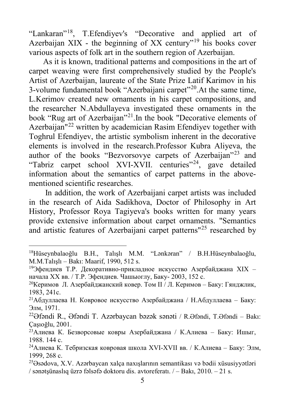"Lankaran"[18](#page-4-0), T.Efendiyev's "Decorative and applied art of Azerbaijan XIX - the beginning of XX century<sup> $n_{19}$  $n_{19}$  $n_{19}$ </sup> his books cover various aspects of folk art in the southern region of Azerbaijan.

 As it is known, traditional patterns and compositions in the art of carpet weaving were first comprehensively studied by the People's Artist of Azerbaijan, laureate of the State Prize Latif Karimov in his 3-volume fundamental book "Azerbaijani carpet"<sup>[20](#page-4-2)</sup>. At the same time, L.Kerimov created new ornaments in his carpet compositions, and the researcher N.Abdullayeva investigated these ornaments in the book "Rug art of Azerbaijan"<sup>[21](#page-4-3)</sup>. In the book "Decorative elements of Azerbaijan<sup>"[22](#page-4-4)</sup> written by academician Rasim Efendiyev together with Toghrul Efendiyev, the artistic symbolism inherent in the decorative elements is involved in the research.Professor Kubra Aliyeva, the author of the books "Bezvorsovye carpets of Azerbaijan"<sup>[23](#page-4-5)</sup> and "Tabriz carpet school XVI-XVII. centuries"<sup>24</sup>, gave detailed information about the semantics of carpet patterns in the abovementioned scientific researches.

 In addition, the work of Azerbaijani carpet artists was included in the research of Aida Sadikhova, Doctor of Philosophy in Art History, Professor Roya Tagiyeva's books written for many years provide extensive information about carpet ornaments. "Semantics and artistic features of Azerbaijani carpet patterns"[25](#page-4-7) researched by

<span id="page-4-0"></span> $\ddot{\phantom{a}}$ <sup>18</sup>Hüseynbalaoğlu B.H., Talışlı M.M. "Lənkəran" / B.H.Hüseynbalaoğlu, M.M.Talışlı – Bakı: Maarif, 1990, 512 s.

<span id="page-4-1"></span><sup>&</sup>lt;sup>19</sup>Эфендиев Т.Р. Декоративно-прикладное искусство Азербайджана XIX – начала XX вв. / Т.Р. Эфендиев. Чашыоглу, Баку- 2003, 152 с.

<span id="page-4-2"></span><sup>&</sup>lt;sup>20</sup>Керимов Л. Азербайджанский ковер. Том II / Л. Керимов - Баку: Гянджлик, 1983, 241с.

<span id="page-4-3"></span><sup>&</sup>lt;sup>21</sup>Абдуллаева Н. Ковровое искусство Азербайджана / Н.Абдуллаева – Баку: Элм, 1971.

<span id="page-4-4"></span><sup>22</sup>Əfəndi R., Əfəndi T. Azərbaycan bəzək sənəti / R.Əfəndi, T.Əfəndi – Bakı: Çaşıoğlu, 2001.

<span id="page-4-5"></span><sup>&</sup>lt;sup>23</sup>Алиева К. Безворсовые ковры Азербайджана / К.Алиева – Баку: Ишыг, 1988. 144 с.

<span id="page-4-6"></span><sup>&</sup>lt;sup>24</sup>Алиева К. Тебризская ковровая школа XVI-XVII вв. / К.Алиева – Баку: Элм, 1999, 268 с.

<span id="page-4-7"></span><sup>25</sup>Əsədova, X.V. Azərbaycan xalça naxışlarının semantikası və bədii xüsusiyyətləri / sənətşünaslıq üzrə fəlsəfə doktoru dis. avtoreferatı. / – Bakı, 2010. – 21 s.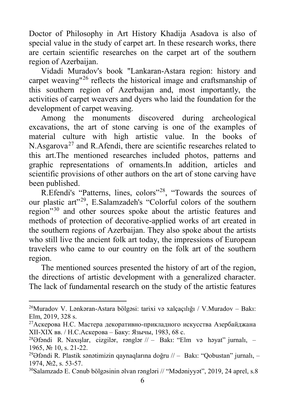Doctor of Philosophy in Art History Khadija Asadova is also of special value in the study of carpet art. In these research works, there are certain scientific researches on the carpet art of the southern region of Azerbaijan.

 Vidadi Muradov's book "Lankaran-Astara region: history and carpet weaving"[26](#page-5-0) reflects the historical image and craftsmanship of this southern region of Azerbaijan and, most importantly, the activities of carpet weavers and dyers who laid the foundation for the development of carpet weaving.

 Among the monuments discovered during archeological excavations, the art of stone carving is one of the examples of material culture with high artistic value. In the books of N.Asgarova<sup>[27](#page-5-1)</sup> and R.Afendi, there are scientific researches related to this art.The mentioned researches included photos, patterns and graphic representations of ornaments.In addition, articles and scientific provisions of other authors on the art of stone carving have been published.

 R.Efendi's "Patterns, lines, colors"[28](#page-5-2), "Towards the sources of our plastic art"[29](#page-5-3), E.Salamzadeh's "Colorful colors of the southern region<sup>"[30](#page-5-4)</sup> and other sources spoke about the artistic features and methods of protection of decorative-applied works of art created in the southern regions of Azerbaijan. They also spoke about the artists who still live the ancient folk art today, the impressions of European travelers who came to our country on the folk art of the southern region.

 The mentioned sources presented the history of art of the region, the directions of artistic development with a generalized character. The lack of fundamental research on the study of the artistic features

<span id="page-5-0"></span><sup>26</sup>Muradov V. Lənkəran-Astara bölgəsi: tarixi və xalçaçılığı / V.Muradov – Bakı: Elm, 2019, 328 s.

<span id="page-5-1"></span><sup>&</sup>lt;sup>27</sup>Аскерова Н.С. Мастера декоративно-прикладного искусства Азербайджана ХII-ХIХ вв. / Н.С.Аскерова – Баку: Язычы, 1983, 68 с.

<span id="page-5-2"></span><sup>&</sup>lt;sup>28</sup>Əfəndi R. Naxışlar, cizgilər, rənglər // – Bakı: "Elm və həyat" jurnalı, – 1965, № 10, s. 21-22.

<span id="page-5-3"></span><sup>&</sup>lt;sup>29</sup>Əfəndi R. Plastik sənətimizin qaynaqlarına doğru // – Bakı: "Oobustan" jurnalı, – 1974, №2, s. 53-57.

<span id="page-5-4"></span><sup>30</sup>Salamzadə E. Cənub bölgəsinin əlvan rəngləri // "Mədəniyyət", 2019, 24 aprel, s.8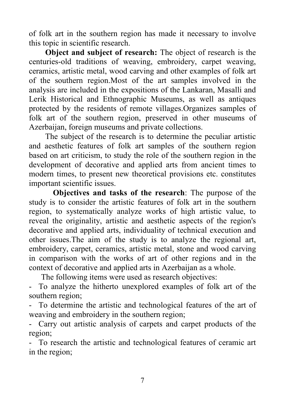of folk art in the southern region has made it necessary to involve this topic in scientific research.

**Object and subject of research:** The object of research is the centuries-old traditions of weaving, embroidery, carpet weaving, ceramics, artistic metal, wood carving and other examples of folk art of the southern region.Most of the art samples involved in the analysis are included in the expositions of the Lankaran, Masalli and Lerik Historical and Ethnographic Museums, as well as antiques protected by the residents of remote villages.Organizes samples of folk art of the southern region, preserved in other museums of Azerbaijan, foreign museums and private collections.

 The subject of the research is to determine the peculiar artistic and aesthetic features of folk art samples of the southern region based on art criticism, to study the role of the southern region in the development of decorative and applied arts from ancient times to modern times, to present new theoretical provisions etc. constitutes important scientific issues.

**Objectives and tasks of the research**: The purpose of the study is to consider the artistic features of folk art in the southern region, to systematically analyze works of high artistic value, to reveal the originality, artistic and aesthetic aspects of the region's decorative and applied arts, individuality of technical execution and other issues.The aim of the study is to analyze the regional art, embroidery, carpet, ceramics, artistic metal, stone and wood carving in comparison with the works of art of other regions and in the context of decorative and applied arts in Azerbaijan as a whole.

The following items were used as research objectives:

- To analyze the hitherto unexplored examples of folk art of the southern region;

To determine the artistic and technological features of the art of weaving and embroidery in the southern region;

Carry out artistic analysis of carpets and carpet products of the region;

- To research the artistic and technological features of ceramic art in the region;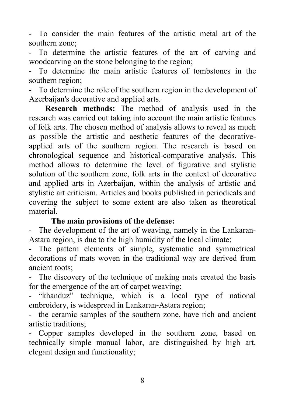- To consider the main features of the artistic metal art of the southern zone;

- To determine the artistic features of the art of carving and woodcarving on the stone belonging to the region;

- To determine the main artistic features of tombstones in the southern region;

- To determine the role of the southern region in the development of Azerbaijan's decorative and applied arts.

 **Research methods:** The method of analysis used in the research was carried out taking into account the main artistic features of folk arts. The chosen method of analysis allows to reveal as much as possible the artistic and aesthetic features of the decorativeapplied arts of the southern region. The research is based on chronological sequence and historical-comparative analysis. This method allows to determine the level of figurative and stylistic solution of the southern zone, folk arts in the context of decorative and applied arts in Azerbaijan, within the analysis of artistic and stylistic art criticism. Articles and books published in periodicals and covering the subject to some extent are also taken as theoretical material.

#### **The main provisions of the defense:**

- The development of the art of weaving, namely in the Lankaran-Astara region, is due to the high humidity of the local climate;

- The pattern elements of simple, systematic and symmetrical decorations of mats woven in the traditional way are derived from ancient roots;

- The discovery of the technique of making mats created the basis for the emergence of the art of carpet weaving;

- "khanduz" technique, which is a local type of national embroidery, is widespread in Lankaran-Astara region;

- the ceramic samples of the southern zone, have rich and ancient artistic traditions;

- Copper samples developed in the southern zone, based on technically simple manual labor, are distinguished by high art, elegant design and functionality;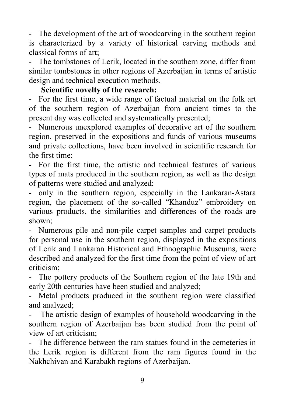- The development of the art of woodcarving in the southern region is characterized by a variety of historical carving methods and classical forms of art;

- The tombstones of Lerik, located in the southern zone, differ from similar tombstones in other regions of Azerbaijan in terms of artistic design and technical execution methods.

#### **Scientific novelty of the research:**

- For the first time, a wide range of factual material on the folk art of the southern region of Azerbaijan from ancient times to the present day was collected and systematically presented;

- Numerous unexplored examples of decorative art of the southern region, preserved in the expositions and funds of various museums and private collections, have been involved in scientific research for the first time;

For the first time, the artistic and technical features of various types of mats produced in the southern region, as well as the design of patterns were studied and analyzed;

- only in the southern region, especially in the Lankaran-Astara region, the placement of the so-called "Khanduz" embroidery on various products, the similarities and differences of the roads are shown;

- Numerous pile and non-pile carpet samples and carpet products for personal use in the southern region, displayed in the expositions of Lerik and Lankaran Historical and Ethnographic Museums, were described and analyzed for the first time from the point of view of art criticism;

- The pottery products of the Southern region of the late 19th and early 20th centuries have been studied and analyzed;

- Metal products produced in the southern region were classified and analyzed;

The artistic design of examples of household woodcarving in the southern region of Azerbaijan has been studied from the point of view of art criticism;

- The difference between the ram statues found in the cemeteries in the Lerik region is different from the ram figures found in the Nakhchivan and Karabakh regions of Azerbaijan.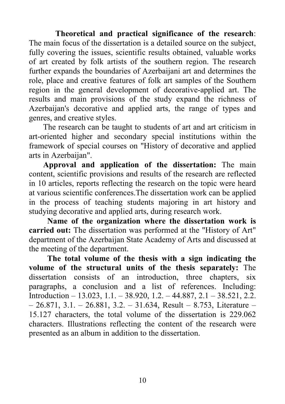**Theoretical and practical significance of the research**: The main focus of the dissertation is a detailed source on the subject, fully covering the issues, scientific results obtained, valuable works of art created by folk artists of the southern region. The research further expands the boundaries of Azerbaijani art and determines the role, place and creative features of folk art samples of the Southern region in the general development of decorative-applied art. The results and main provisions of the study expand the richness of Azerbaijan's decorative and applied arts, the range of types and genres, and creative styles.

 The research can be taught to students of art and art criticism in art-oriented higher and secondary special institutions within the framework of special courses on "History of decorative and applied arts in Azerbaijan".

 **Approval and application of the dissertation:** The main content, scientific provisions and results of the research are reflected in 10 articles, reports reflecting the research on the topic were heard at various scientific conferences.The dissertation work can be applied in the process of teaching students majoring in art history and studying decorative and applied arts, during research work.

 **Name of the organization where the dissertation work is carried out:** The dissertation was performed at the "History of Art" department of the Azerbaijan State Academy of Arts and discussed at the meeting of the department.

 **The total volume of the thesis with a sign indicating the volume of the structural units of the thesis separately:** The dissertation consists of an introduction, three chapters, six paragraphs, a conclusion and a list of references. Including: Introduction – 13.023, 1.1. – 38.920, 1.2. – 44.887, 2.1 – 38.521, 2.2.  $-26.871, 3.1. - 26.881, 3.2. - 31.634,$  Result – 8.753, Literature – 15.127 characters, the total volume of the dissertation is 229.062 characters. Illustrations reflecting the content of the research were presented as an album in addition to the dissertation.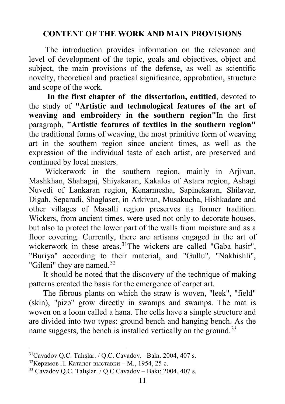## **CONTENT OF THE WORK AND MAIN PROVISIONS**

 The introduction provides information on the relevance and level of development of the topic, goals and objectives, object and subject, the main provisions of the defense, as well as scientific novelty, theoretical and practical significance, approbation, structure and scope of the work.

 **In the first chapter of the dissertation, entitled**, devoted to the study of **"Artistic and technological features of the art of weaving and embroidery in the southern region"**In the first paragraph, **"Artistic features of textiles in the southern region"** the traditional forms of weaving, the most primitive form of weaving art in the southern region since ancient times, as well as the expression of the individual taste of each artist, are preserved and continued by local masters.

 Wickerwork in the southern region, mainly in Arjivan, Mashkhan, Shahagaj, Shiyakaran, Kakalos of Astara region, Ashagi Nuvedi of Lankaran region, Kenarmesha, Sapinekaran, Shilavar, Digah, Separadi, Shaglaser, in Arkivan, Musakucha, Hishkadare and other villages of Masalli region preserves its former tradition. Wickers, from ancient times, were used not only to decorate houses, but also to protect the lower part of the walls from moisture and as a floor covering. Currently, there are artisans engaged in the art of wickerwork in these areas.<sup>31</sup>The wickers are called "Gaba hasir", "Buriya" according to their material, and "Gullu", "Nakhishli", "Gileni" they are named. $32$ 

 It should be noted that the discovery of the technique of making patterns created the basis for the emergence of carpet art.

 The fibrous plants on which the straw is woven, "leek", "field" (skin), "pizə" grow directly in swamps and swamps. The mat is woven on a loom called a hana. The cells have a simple structure and are divided into two types: ground bench and hanging bench. As the name suggests, the bench is installed vertically on the ground.<sup>[33](#page-10-2)</sup>

<span id="page-10-0"></span> $31$ Cavadov O.C. Talıslar. / O.C. Cavadov.– Bakı. 2004, 407 s.

<span id="page-10-1"></span> $32$ Керимов Л. Каталог выставки – М., 1954, 25 с.

<span id="page-10-2"></span><sup>33</sup> Cavadov Q.C. Talışlar. / Q.C.Cavadov – Bakı: 2004, 407 s.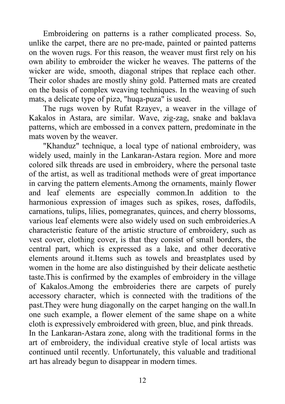Embroidering on patterns is a rather complicated process. So, unlike the carpet, there are no pre-made, painted or painted patterns on the woven rugs. For this reason, the weaver must first rely on his own ability to embroider the wicker he weaves. The patterns of the wicker are wide, smooth, diagonal stripes that replace each other. Their color shades are mostly shiny gold. Patterned mats are created on the basis of complex weaving techniques. In the weaving of such mats, a delicate type of pizə, "huqa-puza" is used.

 The rugs woven by Rufat Rzayev, a weaver in the village of Kakalos in Astara, are similar. Wave, zig-zag, snake and baklava patterns, which are embossed in a convex pattern, predominate in the mats woven by the weaver.

 "Khanduz" technique, a local type of national embroidery, was widely used, mainly in the Lankaran-Astara region. More and more colored silk threads are used in embroidery, where the personal taste of the artist, as well as traditional methods were of great importance in carving the pattern elements.Among the ornaments, mainly flower and leaf elements are especially common.In addition to the harmonious expression of images such as spikes, roses, daffodils, carnations, tulips, lilies, pomegranates, quinces, and cherry blossoms, various leaf elements were also widely used on such embroideries.A characteristic feature of the artistic structure of embroidery, such as vest cover, clothing cover, is that they consist of small borders, the central part, which is expressed as a lake, and other decorative elements around it.Items such as towels and breastplates used by women in the home are also distinguished by their delicate aesthetic taste.This is confirmed by the examples of embroidery in the village of Kakalos.Among the embroideries there are carpets of purely accessory character, which is connected with the traditions of the past.They were hung diagonally on the carpet hanging on the wall.In one such example, a flower element of the same shape on a white cloth is expressively embroidered with green, blue, and pink threads. In the Lankaran-Astara zone, along with the traditional forms in the art of embroidery, the individual creative style of local artists was continued until recently. Unfortunately, this valuable and traditional art has already begun to disappear in modern times.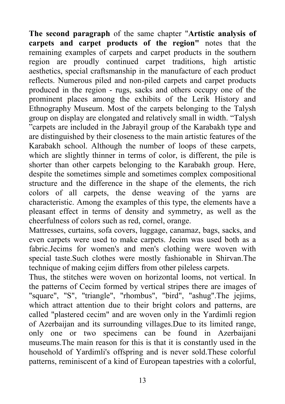**The second paragraph** of the same chapter "**Artistic analysis of carpets and carpet products of the region"** notes that the remaining examples of carpets and carpet products in the southern region are proudly continued carpet traditions, high artistic aesthetics, special craftsmanship in the manufacture of each product reflects. Numerous piled and non-piled carpets and carpet products produced in the region - rugs, sacks and others occupy one of the prominent places among the exhibits of the Lerik History and Ethnography Museum. Most of the carpets belonging to the Talysh group on display are elongated and relatively small in width. "Talysh "carpets are included in the Jabrayil group of the Karabakh type and are distinguished by their closeness to the main artistic features of the Karabakh school. Although the number of loops of these carpets, which are slightly thinner in terms of color, is different, the pile is shorter than other carpets belonging to the Karabakh group. Here, despite the sometimes simple and sometimes complex compositional structure and the difference in the shape of the elements, the rich colors of all carpets, the dense weaving of the yarns are characteristic. Among the examples of this type, the elements have a pleasant effect in terms of density and symmetry, as well as the cheerfulness of colors such as red, cornel, orange.

Mattresses, curtains, sofa covers, luggage, canamaz, bags, sacks, and even carpets were used to make carpets. Jecim was used both as a fabric.Jecims for women's and men's clothing were woven with special taste.Such clothes were mostly fashionable in Shirvan.The technique of making cejim differs from other pileless carpets.

Thus, the stitches were woven on horizontal looms, not vertical. In the patterns of Cecim formed by vertical stripes there are images of "square", "S", "triangle", "rhombus", "bird", "ashug".The jejims, which attract attention due to their bright colors and patterns, are called "plastered cecim" and are woven only in the Yardimli region of Azerbaijan and its surrounding villages.Due to its limited range, only one or two specimens can be found in Azerbaijani museums.The main reason for this is that it is constantly used in the household of Yardimli's offspring and is never sold.These colorful patterns, reminiscent of a kind of European tapestries with a colorful,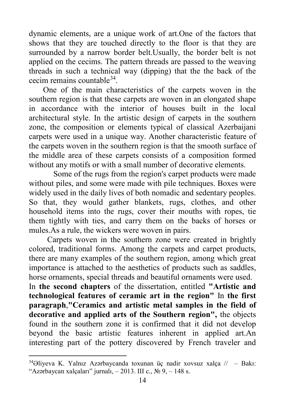dynamic elements, are a unique work of art.One of the factors that shows that they are touched directly to the floor is that they are surrounded by a narrow border belt.Usually, the border belt is not applied on the cecims. The pattern threads are passed to the weaving threads in such a technical way (dipping) that the the back of the cecim remains countable[34.](#page-13-0)

 One of the main characteristics of the carpets woven in the southern region is that these carpets are woven in an elongated shape in accordance with the interior of houses built in the local architectural style. In the artistic design of carpets in the southern zone, the composition or elements typical of classical Azerbaijani carpets were used in a unique way. Another characteristic feature of the carpets woven in the southern region is that the smooth surface of the middle area of these carpets consists of a composition formed without any motifs or with a small number of decorative elements.

 Some of the rugs from the region's carpet products were made without piles, and some were made with pile techniques. Boxes were widely used in the daily lives of both nomadic and sedentary peoples. So that, they would gather blankets, rugs, clothes, and other household items into the rugs, cover their mouths with ropes, tie them tightly with ties, and carry them on the backs of horses or mules.As a rule, the wickers were woven in pairs.

 Carpets woven in the southern zone were created in brightly colored, traditional forms. Among the carpets and carpet products, there are many examples of the southern region, among which great importance is attached to the aesthetics of products such as saddles, horse ornaments, special threads and beautiful ornaments were used.

In **the second chapters** of the dissertation, entitled **"Artistic and technological features of ceramic art in the region"** In **the first paragraph**,**"Ceramics and artistic metal samples in the field of decorative and applied arts of the Southern region",** the objects found in the southern zone it is confirmed that it did not develop beyond the basic artistic features inherent in applied art.An interesting part of the pottery discovered by French traveler and

l

<span id="page-13-0"></span> $34$ Əliyeva K. Yalnız Azərbaycanda toxunan üç nadir xovsuz xalça // – Bakı: "Azərbaycan xalçaları" jurnalı, – 2013. III c.,  $N_2$  9, – 148 s.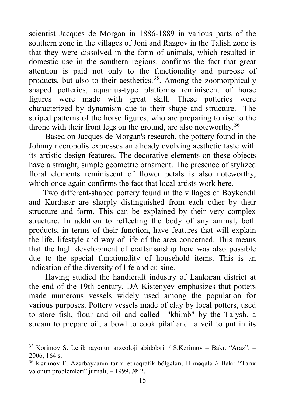scientist Jacques de Morgan in 1886-1889 in various parts of the southern zone in the villages of Joni and Razgov in the Talish zone is that they were dissolved in the form of animals, which resulted in domestic use in the southern regions. confirms the fact that great attention is paid not only to the functionality and purpose of products, but also to their aesthetics.<sup>[35](#page-14-0)</sup>. Among the zoomorphically shaped potteries, aquarius-type platforms reminiscent of horse figures were made with great skill. These potteries were characterized by dynamism due to their shape and structure. The striped patterns of the horse figures, who are preparing to rise to the throne with their front legs on the ground, are also noteworthy.<sup>[36](#page-14-1)</sup>

 Based on Jacques de Morgan's research, the pottery found in the Johnny necropolis expresses an already evolving aesthetic taste with its artistic design features. The decorative elements on these objects have a straight, simple geometric ornament. The presence of stylized floral elements reminiscent of flower petals is also noteworthy, which once again confirms the fact that local artists work here.

 Two different-shaped pottery found in the villages of Boykendil and Kurdasar are sharply distinguished from each other by their structure and form. This can be explained by their very complex structure. In addition to reflecting the body of any animal, both products, in terms of their function, have features that will explain the life, lifestyle and way of life of the area concerned. This means that the high development of craftsmanship here was also possible due to the special functionality of household items. This is an indication of the diversity of life and cuisine.

 Having studied the handicraft industry of Lankaran district at the end of the 19th century, DA Kistenyev emphasizes that potters made numerous vessels widely used among the population for various purposes. Pottery vessels made of clay by local potters, used to store fish, flour and oil and called "khimb" by the Talysh, a stream to prepare oil, a bowl to cook pilaf and a veil to put in its

<span id="page-14-0"></span><sup>35</sup> Kərimov S. Lerik rayonun arxeoloji abidələri. / S.Kərimov – Bakı: "Araz", – 2006, 164 s.

<span id="page-14-1"></span><sup>36</sup> Kərimov E. Azərbaycanın tarixi-etnoqrafik bölgələri. II məqalə // Bakı: "Tarix və onun problemləri" jurnalı, – 1999.  $\mathbb{N}^2$ 2.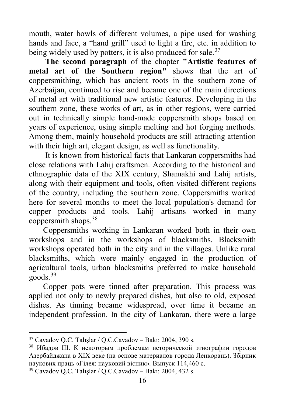mouth, water bowls of different volumes, a pipe used for washing hands and face, a "hand grill" used to light a fire, etc. in addition to being widely used by potters, it is also produced for sale.<sup>[37](#page-15-0)</sup>

 **The second paragraph** of the chapter **"Artistic features of metal art of the Southern region"** shows that the art of coppersmithing, which has ancient roots in the southern zone of Azerbaijan, continued to rise and became one of the main directions of metal art with traditional new artistic features. Developing in the southern zone, these works of art, as in other regions, were carried out in technically simple hand-made coppersmith shops based on years of experience, using simple melting and hot forging methods. Among them, mainly household products are still attracting attention with their high art, elegant design, as well as functionality.

 It is known from historical facts that Lankaran coppersmiths had close relations with Lahij craftsmen. According to the historical and ethnographic data of the XIX century, Shamakhi and Lahij artists, along with their equipment and tools, often visited different regions of the country, including the southern zone. Coppersmiths worked here for several months to meet the local population's demand for copper products and tools. Lahij artisans worked in many coppersmith shops.[38](#page-15-1)

 Coppersmiths working in Lankaran worked both in their own workshops and in the workshops of blacksmiths. Blacksmith workshops operated both in the city and in the villages. Unlike rural blacksmiths, which were mainly engaged in the production of agricultural tools, urban blacksmiths preferred to make household goods.[39](#page-15-2)

 Copper pots were tinned after preparation. This process was applied not only to newly prepared dishes, but also to old, exposed dishes. As tinning became widespread, over time it became an independent profession. In the city of Lankaran, there were a large

<span id="page-15-0"></span><sup>37</sup> Cavadov Q.C. Talışlar / Q.C.Cavadov – Bakı: 2004, 390 s.

<span id="page-15-1"></span><sup>38</sup> Ибадов Ш. К некоторым проблемам исторической этнографии городов Азербайджана в XIX веке (на основе материалов города Ленкорань). Збірник наукових праць «Гілея: науковий вісник». Выпуск 114,460 с.

<span id="page-15-2"></span><sup>39</sup> Cavadov Q.C. Talışlar / Q.C.Cavadov – Bakı: 2004, 432 s.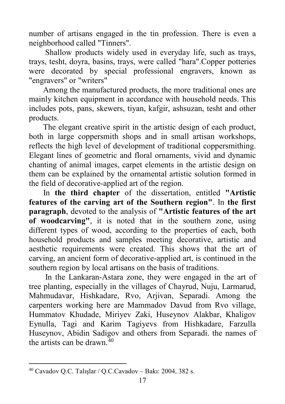number of artisans engaged in the tin profession. There is even a neighborhood called "Tinners".

 Shallow products widely used in everyday life, such as trays, trays, tesht, doyra, basins, trays, were called "hara".Copper potteries were decorated by special professional engravers, known as "engravers" or "writers"

 Among the manufactured products, the more traditional ones are mainly kitchen equipment in accordance with household needs. This includes pots, pans, skewers, tiyan, kafgir, ashsuzan, tesht and other products.

 The elegant creative spirit in the artistic design of each product, both in large coppersmith shops and in small artisan workshops, reflects the high level of development of traditional coppersmithing. Elegant lines of geometric and floral ornaments, vivid and dynamic chanting of animal images, carpet elements in the artistic design on them can be explained by the ornamental artistic solution formed in the field of decorative-applied art of the region.

 In **the third chapter** of the dissertation, entitled **"Artistic features of the carving art of the Southern region"**. In **the first paragraph**, devoted to the analysis of **"Artistic features of the art of woodcarving"**, it is noted that in the southern zone, using different types of wood, according to the properties of each, both household products and samples meeting decorative, artistic and aesthetic requirements were created. This shows that the art of carving, an ancient form of decorative-applied art, is continued in the southern region by local artisans on the basis of traditions.

 In the Lankaran-Astara zone, they were engaged in the art of tree planting, especially in the villages of Chayrud, Nuju, Larmarud, Mahmudavar, Hishkadare, Rvo, Arjivan, Separadi. Among the carpenters working here are Mammadov Davud from Rvo village, Hummatov Khudade, Miriyev Zaki, Huseynov Alakbar, Khaligov Eynulla, Tagi and Karim Tagiyevs from Hishkadare, Farzulla Huseynov, Abidin Sadigov and others from Separadi. the names of the artists can be drawn  $40$ 

<span id="page-16-0"></span><sup>40</sup> Cavadov Q.C. Talışlar / Q.C.Cavadov – Bakı: 2004, 382 s.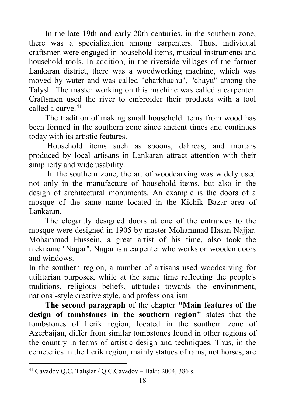In the late 19th and early 20th centuries, in the southern zone, there was a specialization among carpenters. Thus, individual craftsmen were engaged in household items, musical instruments and household tools. In addition, in the riverside villages of the former Lankaran district, there was a woodworking machine, which was moved by water and was called "charkhachu", "chayu" among the Talysh. The master working on this machine was called a carpenter. Craftsmen used the river to embroider their products with a tool called a curve.<sup>[41](#page-17-0)</sup>

 The tradition of making small household items from wood has been formed in the southern zone since ancient times and continues today with its artistic features.

 Household items such as spoons, dahreas, and mortars produced by local artisans in Lankaran attract attention with their simplicity and wide usability.

 In the southern zone, the art of woodcarving was widely used not only in the manufacture of household items, but also in the design of architectural monuments. An example is the doors of a mosque of the same name located in the Kichik Bazar area of Lankaran.

 The elegantly designed doors at one of the entrances to the mosque were designed in 1905 by master Mohammad Hasan Najjar. Mohammad Hussein, a great artist of his time, also took the nickname "Najjar". Najjar is a carpenter who works on wooden doors and windows.

In the southern region, a number of artisans used woodcarving for utilitarian purposes, while at the same time reflecting the people's traditions, religious beliefs, attitudes towards the environment, national-style creative style, and professionalism.

 **The second paragraph** of the chapter **"Main features of the design of tombstones in the southern region"** states that the tombstones of Lerik region, located in the southern zone of Azerbaijan, differ from similar tombstones found in other regions of the country in terms of artistic design and techniques. Thus, in the cemeteries in the Lerik region, mainly statues of rams, not horses, are

<span id="page-17-0"></span><sup>41</sup> Cavadov Q.C. Talışlar / Q.C.Cavadov – Bakı: 2004, 386 s.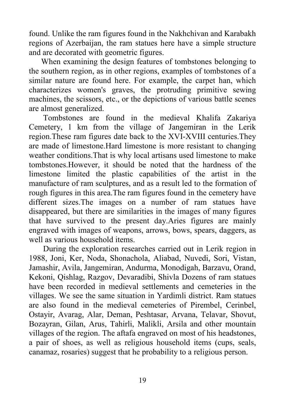found. Unlike the ram figures found in the Nakhchivan and Karabakh regions of Azerbaijan, the ram statues here have a simple structure and are decorated with geometric figures.

 When examining the design features of tombstones belonging to the southern region, as in other regions, examples of tombstones of a similar nature are found here. For example, the carpet han, which characterizes women's graves, the protruding primitive sewing machines, the scissors, etc., or the depictions of various battle scenes are almost generalized.

 Tombstones are found in the medieval Khalifa Zakariya Cemetery, 1 km from the village of Jangemiran in the Lerik region.These ram figures date back to the XVI-XVIII centuries.They are made of limestone.Hard limestone is more resistant to changing weather conditions.That is why local artisans used limestone to make tombstones.However, it should be noted that the hardness of the limestone limited the plastic capabilities of the artist in the manufacture of ram sculptures, and as a result led to the formation of rough figures in this area.The ram figures found in the cemetery have different sizes.The images on a number of ram statues have disappeared, but there are similarities in the images of many figures that have survived to the present day.Aries figures are mainly engraved with images of weapons, arrows, bows, spears, daggers, as well as various household items.

 During the exploration researches carried out in Lerik region in 1988, Joni, Ker, Noda, Shonachola, Aliabad, Nuvedi, Sori, Vistan, Jamashir, Avila, Jangemiran, Andurma, Monodigah, Barzavu, Orand, Kekoni, Qishlag, Razgov, Devaradibi, Shivla Dozens of ram statues have been recorded in medieval settlements and cemeteries in the villages. We see the same situation in Yardimli district. Ram statues are also found in the medieval cemeteries of Pirembel, Cerinbel, Ostayir, Avarag, Alar, Deman, Peshtasar, Arvana, Telavar, Shovut, Bozayran, Gilan, Arus, Tahirli, Malikli, Arsila and other mountain villages of the region. The aftafa engraved on most of his headstones, a pair of shoes, as well as religious household items (cups, seals, canamaz, rosaries) suggest that he probability to a religious person.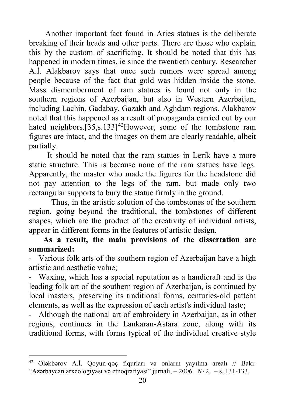Another important fact found in Aries statues is the deliberate breaking of their heads and other parts. There are those who explain this by the custom of sacrificing. It should be noted that this has happened in modern times, ie since the twentieth century. Researcher A.İ. Alakbarov says that once such rumors were spread among people because of the fact that gold was hidden inside the stone. Mass dismemberment of ram statues is found not only in the southern regions of Azerbaijan, but also in Western Azerbaijan, including Lachin, Gadabay, Gazakh and Aghdam regions. Alakbarov noted that this happened as a result of propaganda carried out by our hated neighbors. $[35, s.133]$ <sup>[42](#page-19-0)</sup>However, some of the tombstone ram figures are intact, and the images on them are clearly readable, albeit partially.

 It should be noted that the ram statues in Lerik have a more static structure. This is because none of the ram statues have legs. Apparently, the master who made the figures for the headstone did not pay attention to the legs of the ram, but made only two rectangular supports to bury the statue firmly in the ground.

 Thus, in the artistic solution of the tombstones of the southern region, going beyond the traditional, the tombstones of different shapes, which are the product of the creativity of individual artists, appear in different forms in the features of artistic design.

## **As a result, the main provisions of the dissertation are summarized:**

- Various folk arts of the southern region of Azerbaijan have a high artistic and aesthetic value;

- Waxing, which has a special reputation as a handicraft and is the leading folk art of the southern region of Azerbaijan, is continued by local masters, preserving its traditional forms, centuries-old pattern elements, as well as the expression of each artist's individual taste;

- Although the national art of embroidery in Azerbaijan, as in other regions, continues in the Lankaran-Astara zone, along with its traditional forms, with forms typical of the individual creative style

l

<span id="page-19-0"></span><sup>42</sup> Ələkbərov A.İ. Qoyun-qoç fiqurları və onların yayılma arealı // Bakı: "Azərbaycan arxeologiyası və etnoqrafiyası" jurnalı,  $-2006$ .  $\mathbb{N}$  2,  $-$  s. 131-133.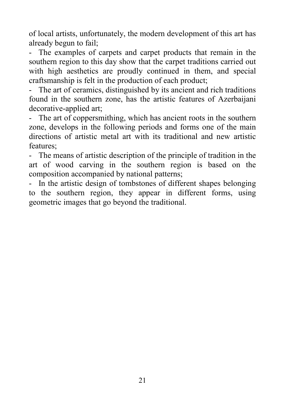of local artists, unfortunately, the modern development of this art has already begun to fail;

- The examples of carpets and carpet products that remain in the southern region to this day show that the carpet traditions carried out with high aesthetics are proudly continued in them, and special craftsmanship is felt in the production of each product;

- The art of ceramics, distinguished by its ancient and rich traditions found in the southern zone, has the artistic features of Azerbaijani decorative-applied art;

- The art of coppersmithing, which has ancient roots in the southern zone, develops in the following periods and forms one of the main directions of artistic metal art with its traditional and new artistic features;

- The means of artistic description of the principle of tradition in the art of wood carving in the southern region is based on the composition accompanied by national patterns;

- In the artistic design of tombstones of different shapes belonging to the southern region, they appear in different forms, using geometric images that go beyond the traditional.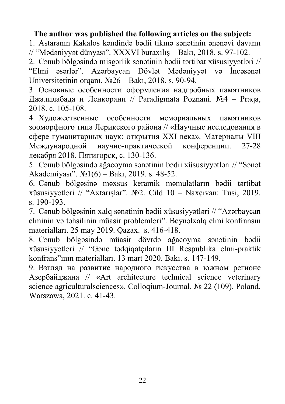#### **The author was published the following articles on the subject:**

1. Astaranın Kakalos kəndində bədii tikmə sənətinin ənənəvi davamı // "Mədəniyyət dünyası". XXXVI buraxılış – Bakı, 2018. s. 97-102.

2. Cənub bölgəsində misgərlik sənətinin bədii tərtibat xüsusiyyətləri // "Elmi əsərlər". Azərbaycan Dövlət Mədəniyyət və İncəsənət Universitetinin orqanı. №26 – Bakı, 2018. s. 90-94.

3. Основные особенности оформления надгробных памятников Джалилабада и Ленкорани // Paradigmata Poznani. №4 – Praqa, 2018. с. 105-108.

4. Художественные особенности мемориальных памятников зооморфного типа Лерикского района // «Научные исследования в сфере гуманитарных наук: открытия XXI века». Материалы VIII Международной научно-практической конференции. 27-28 декабря 2018. Пятигорск, с. 130-136.

5. Cənub bölgəsində ağacoyma sənətinin bədii xüsusiyyətləri // "Sənət Akademiyası". №1(6) – Bakı, 2019. s. 48-52.

6. Cənub bölgəsinə məxsus keramik məmulatların bədii tərtibat xüsusiyyətləri // "Axtarışlar". №2. Cild 10 – Naxçıvan: Tusi, 2019. s. 190-193.

7. Cənub bölgəsinin xalq sənətinin bədii xüsusiyyətləri // "Azərbaycan elminin və təhsilinin müasir problemləri". Beynəlxalq elmi konfransın materialları. 25 may 2019. Qazax. s. 416-418.

8. Cənub bölgəsində müasir dövrdə ağacoyma sənətinin bədii xüsusiyyətləri // "Gənc tədqiqatçıların III Respublika elmi-praktik konfrans"ının materialları. 13 mart 2020. Bakı. s. 147-149.

9. Взгляд на развитие народного искусства в южном регионе Азербайджана // «Art architecture technical science veterinary science agriculturalsciences». Colloqium-Journal. № 22 (109). Poland, Warszawa, 2021. c. 41-43.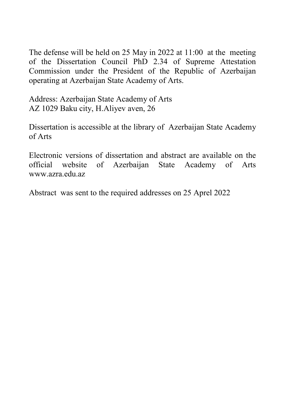The defense will be held on 25 May in 2022 at 11:00 at the meeting of the Dissertation Council PhD 2.34 of Supreme Attestation Commission under the President of the Republic of Azerbaijan operating at Azerbaijan State Academy of Arts.

Address: Azerbaijan State Academy of Arts AZ 1029 Baku city, H.Aliyev aven, 26

Dissertation is accessible at the library of Azerbaijan State Academy of Arts

Electronic versions of dissertation and abstract are available on the official website of Azerbaijan State Academy of Arts [www.azra.edu.az](http://www.azra.edu.az/)

Abstract was sent to the required addresses on 25 Aprel 2022